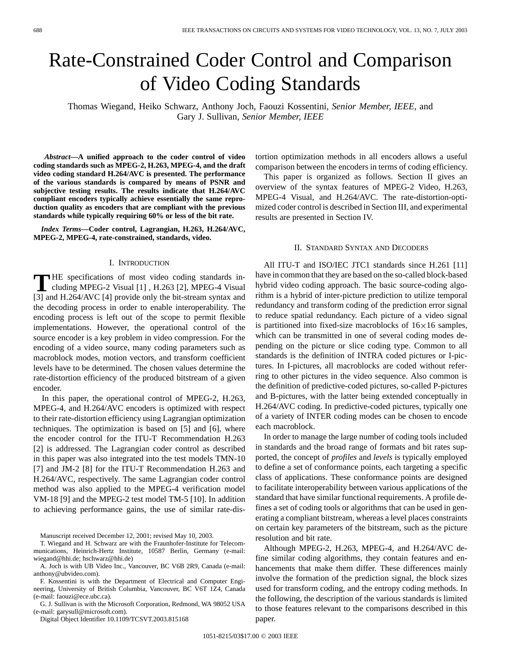# Rate-Constrained Coder Control and Comparison of Video Coding Standards

Thomas Wiegand, Heiko Schwarz, Anthony Joch, Faouzi Kossentini*, Senior Member, IEEE*, and Gary J. Sullivan*, Senior Member, IEEE*

*Abstract—***A unified approach to the coder control of video coding standards such as MPEG-2, H.263, MPEG-4, and the draft video coding standard H.264/AVC is presented. The performance of the various standards is compared by means of PSNR and subjective testing results. The results indicate that H.264/AVC compliant encoders typically achieve essentially the same reproduction quality as encoders that are compliant with the previous standards while typically requiring 60% or less of the bit rate.**

*Index Terms—***Coder control, Lagrangian, H.263, H.264/AVC, MPEG-2, MPEG-4, rate-constrained, standards, video.**

#### I. INTRODUCTION

THE specifications of most video coding standards in-<br>cluding MPEG-2 Visual [1] , H.263 [2], MPEG-4 Visual<br>[2] and H.264/AVG [4] appeids a but he bit stream suntan and [3] and H.264/AVC [4] provide only the bit-stream syntax and the decoding process in order to enable interoperability. The encoding process is left out of the scope to permit flexible implementations. However, the operational control of the source encoder is a key problem in video compression. For the encoding of a video source, many coding parameters such as macroblock modes, motion vectors, and transform coefficient levels have to be determined. The chosen values determine the rate-distortion efficiency of the produced bitstream of a given encoder.

In this paper, the operational control of MPEG-2, H.263, MPEG-4, and H.264/AVC encoders is optimized with respect to their rate-distortion efficiency using Lagrangian optimization techniques. The optimization is based on [5] and [6], where the encoder control for the ITU-T Recommendation H.263 [2] is addressed. The Lagrangian coder control as described in this paper was also integrated into the test models TMN-10 [7] and JM-2 [8] for the ITU-T Recommendation H.263 and H.264/AVC, respectively. The same Lagrangian coder control method was also applied to the MPEG-4 verification model VM-18 [9] and the MPEG-2 test model TM-5 [10]. In addition to achieving performance gains, the use of similar rate-dis-

Manuscript received December 12, 2001; revised May 10, 2003.

T. Wiegand and H. Schwarz are with the Fraunhofer-Institute for Telecommunications, Heinrich-Hertz Institute, 10587 Berlin, Germany (e-mail: wiegand@hhi.de; hschwarz@hhi.de)

A. Joch is with UB Video Inc., Vancouver, BC V6B 2R9, Canada (e-mail: anthony@ubvideo.com).

F. Kossentini is with the Department of Electrical and Computer Engineering, University of British Columbia, Vancouver, BC V6T 1Z4, Canada (e-mail: faouzi@ece.ubc.ca).

G. J. Sullivan is with the Microsoft Corporation, Redmond, WA 98052 USA (e-mail: garysull@microsoft.com).

Digital Object Identifier 10.1109/TCSVT.2003.815168

tortion optimization methods in all encoders allows a useful comparison between the encoders in terms of coding efficiency.

This paper is organized as follows. Section II gives an overview of the syntax features of MPEG-2 Video, H.263, MPEG-4 Visual, and H.264/AVC. The rate-distortion-optimized coder control is described in Section III, and experimental results are presented in Section IV.

### II. STANDARD SYNTAX AND DECODERS

All ITU-T and ISO/IEC JTC1 standards since H.261 [11] have in common that they are based on the so-called block-based hybrid video coding approach. The basic source-coding algorithm is a hybrid of inter-picture prediction to utilize temporal redundancy and transform coding of the prediction error signal to reduce spatial redundancy. Each picture of a video signal is partitioned into fixed-size macroblocks of  $16 \times 16$  samples, which can be transmitted in one of several coding modes depending on the picture or slice coding type. Common to all standards is the definition of INTRA coded pictures or I-pictures. In I-pictures, all macroblocks are coded without referring to other pictures in the video sequence. Also common is the definition of predictive-coded pictures, so-called P-pictures and B-pictures, with the latter being extended conceptually in H.264/AVC coding. In predictive-coded pictures, typically one of a variety of INTER coding modes can be chosen to encode each macroblock.

In order to manage the large number of coding tools included in standards and the broad range of formats and bit rates supported, the concept of *profiles* and *levels* is typically employed to define a set of conformance points, each targeting a specific class of applications. These conformance points are designed to facilitate interoperability between various applications of the standard that have similar functional requirements. A profile defines a set of coding tools or algorithms that can be used in generating a compliant bitstream, whereas a level places constraints on certain key parameters of the bitstream, such as the picture resolution and bit rate.

Although MPEG-2, H.263, MPEG-4, and H.264/AVC define similar coding algorithms, they contain features and enhancements that make them differ. These differences mainly involve the formation of the prediction signal, the block sizes used for transform coding, and the entropy coding methods. In the following, the description of the various standards is limited to those features relevant to the comparisons described in this paper.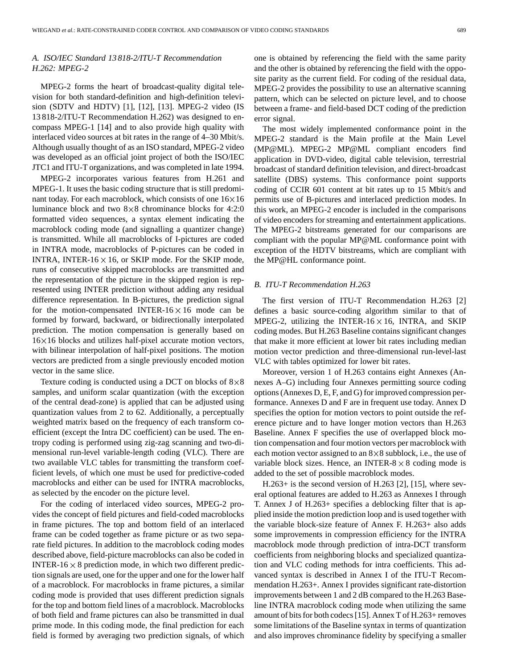# *A. ISO/IEC Standard 13 818-2/ITU-T Recommendation H.262: MPEG-2*

MPEG-2 forms the heart of broadcast-quality digital television for both standard-definition and high-definition television (SDTV and HDTV) [1], [12], [13]. MPEG-2 video (IS 13 818-2/ITU-T Recommendation H.262) was designed to encompass MPEG-1 [14] and to also provide high quality with interlaced video sources at bit rates in the range of 4–30 Mbit/s. Although usually thought of as an ISO standard, MPEG-2 video was developed as an official joint project of both the ISO/IEC JTC1 and ITU-T organizations, and was completed in late 1994.

MPEG-2 incorporates various features from H.261 and MPEG-1. It uses the basic coding structure that is still predominant today. For each macroblock, which consists of one  $16 \times 16$ luminance block and two  $8 \times 8$  chrominance blocks for 4:2:0 formatted video sequences, a syntax element indicating the macroblock coding mode (and signalling a quantizer change) is transmitted. While all macroblocks of I-pictures are coded in INTRA mode, macroblocks of P-pictures can be coded in INTRA, INTER-16  $\times$  16, or SKIP mode. For the SKIP mode, runs of consecutive skipped macroblocks are transmitted and the representation of the picture in the skipped region is represented using INTER prediction without adding any residual difference representation. In B-pictures, the prediction signal for the motion-compensated INTER-16  $\times$  16 mode can be formed by forward, backward, or bidirectionally interpolated prediction. The motion compensation is generally based on  $16 \times 16$  blocks and utilizes half-pixel accurate motion vectors, with bilinear interpolation of half-pixel positions. The motion vectors are predicted from a single previously encoded motion vector in the same slice.

Texture coding is conducted using a DCT on blocks of  $8 \times 8$ samples, and uniform scalar quantization (with the exception of the central dead-zone) is applied that can be adjusted using quantization values from 2 to 62. Additionally, a perceptually weighted matrix based on the frequency of each transform coefficient (except the Intra DC coefficient) can be used. The entropy coding is performed using zig-zag scanning and two-dimensional run-level variable-length coding (VLC). There are two available VLC tables for transmitting the transform coefficient levels, of which one must be used for predictive-coded macroblocks and either can be used for INTRA macroblocks, as selected by the encoder on the picture level.

For the coding of interlaced video sources, MPEG-2 provides the concept of field pictures and field-coded macroblocks in frame pictures. The top and bottom field of an interlaced frame can be coded together as frame picture or as two separate field pictures. In addition to the macroblock coding modes described above, field-picture macroblocks can also be coded in INTER-16  $\times$  8 prediction mode, in which two different prediction signals are used, one for the upper and one for the lower half of a macroblock. For macroblocks in frame pictures, a similar coding mode is provided that uses different prediction signals for the top and bottom field lines of a macroblock. Macroblocks of both field and frame pictures can also be transmitted in dual prime mode. In this coding mode, the final prediction for each field is formed by averaging two prediction signals, of which

one is obtained by referencing the field with the same parity and the other is obtained by referencing the field with the opposite parity as the current field. For coding of the residual data, MPEG-2 provides the possibility to use an alternative scanning pattern, which can be selected on picture level, and to choose between a frame- and field-based DCT coding of the prediction error signal.

The most widely implemented conformance point in the MPEG-2 standard is the Main profile at the Main Level (MP@ML). MPEG-2 MP@ML compliant encoders find application in DVD-video, digital cable television, terrestrial broadcast of standard definition television, and direct-broadcast satellite (DBS) systems. This conformance point supports coding of CCIR 601 content at bit rates up to 15 Mbit/s and permits use of B-pictures and interlaced prediction modes. In this work, an MPEG-2 encoder is included in the comparisons of video encoders for streaming and entertainment applications. The MPEG-2 bitstreams generated for our comparisons are compliant with the popular MP@ML conformance point with exception of the HDTV bitstreams, which are compliant with the MP@HL conformance point.

#### *B. ITU-T Recommendation H.263*

The first version of ITU-T Recommendation H.263 [2] defines a basic source-coding algorithm similar to that of MPEG-2, utilizing the INTER-16  $\times$  16, INTRA, and SKIP coding modes. But H.263 Baseline contains significant changes that make it more efficient at lower bit rates including median motion vector prediction and three-dimensional run-level-last VLC with tables optimized for lower bit rates.

Moreover, version 1 of H.263 contains eight Annexes (Annexes A–G) including four Annexes permitting source coding options (Annexes D, E, F, and G) for improved compression performance. Annexes D and F are in frequent use today. Annex D specifies the option for motion vectors to point outside the reference picture and to have longer motion vectors than H.263 Baseline. Annex F specifies the use of overlapped block motion compensation and four motion vectors per macroblock with each motion vector assigned to an  $8 \times 8$  subblock, i.e., the use of variable block sizes. Hence, an INTER- $8 \times 8$  coding mode is added to the set of possible macroblock modes.

H.263+ is the second version of H.263 [2], [15], where several optional features are added to H.263 as Annexes I through T. Annex J of H.263+ specifies a deblocking filter that is applied inside the motion prediction loop and is used together with the variable block-size feature of Annex F. H.263+ also adds some improvements in compression efficiency for the INTRA macroblock mode through prediction of intra-DCT transform coefficients from neighboring blocks and specialized quantization and VLC coding methods for intra coefficients. This advanced syntax is described in Annex I of the ITU-T Recommendation H.263+. Annex I provides significant rate-distortion improvements between 1 and 2 dB compared to the H.263 Baseline INTRA macroblock coding mode when utilizing the same amount of bits for both codecs [15]. Annex T of H.263+ removes some limitations of the Baseline syntax in terms of quantization and also improves chrominance fidelity by specifying a smaller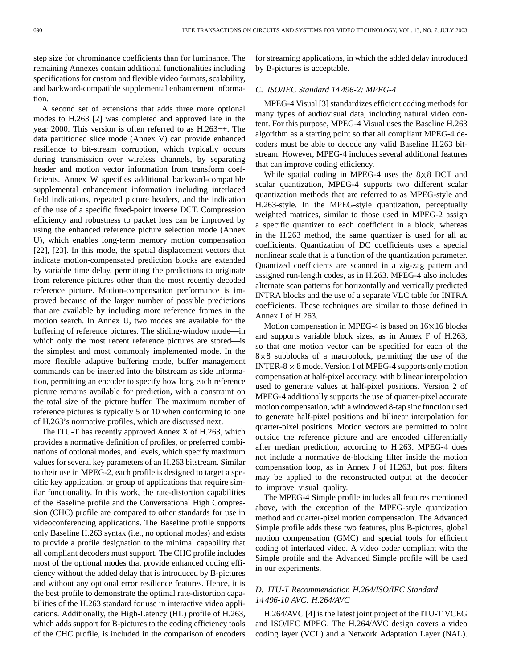step size for chrominance coefficients than for luminance. The remaining Annexes contain additional functionalities including specifications for custom and flexible video formats, scalability, and backward-compatible supplemental enhancement information.

A second set of extensions that adds three more optional modes to H.263 [2] was completed and approved late in the year 2000. This version is often referred to as H.263++. The data partitioned slice mode (Annex V) can provide enhanced resilience to bit-stream corruption, which typically occurs during transmission over wireless channels, by separating header and motion vector information from transform coefficients. Annex W specifies additional backward-compatible supplemental enhancement information including interlaced field indications, repeated picture headers, and the indication of the use of a specific fixed-point inverse DCT. Compression efficiency and robustness to packet loss can be improved by using the enhanced reference picture selection mode (Annex U), which enables long-term memory motion compensation [22], [23]. In this mode, the spatial displacement vectors that indicate motion-compensated prediction blocks are extended by variable time delay, permitting the predictions to originate from reference pictures other than the most recently decoded reference picture. Motion-compensation performance is improved because of the larger number of possible predictions that are available by including more reference frames in the motion search. In Annex U, two modes are available for the buffering of reference pictures. The sliding-window mode—in which only the most recent reference pictures are stored—is the simplest and most commonly implemented mode. In the more flexible adaptive buffering mode, buffer management commands can be inserted into the bitstream as side information, permitting an encoder to specify how long each reference picture remains available for prediction, with a constraint on the total size of the picture buffer. The maximum number of reference pictures is typically 5 or 10 when conforming to one of H.263's normative profiles, which are discussed next.

The ITU-T has recently approved Annex X of H.263, which provides a normative definition of profiles, or preferred combinations of optional modes, and levels, which specify maximum values for several key parameters of an H.263 bitstream. Similar to their use in MPEG-2, each profile is designed to target a specific key application, or group of applications that require similar functionality. In this work, the rate-distortion capabilities of the Baseline profile and the Conversational High Compression (CHC) profile are compared to other standards for use in videoconferencing applications. The Baseline profile supports only Baseline H.263 syntax (i.e., no optional modes) and exists to provide a profile designation to the minimal capability that all compliant decoders must support. The CHC profile includes most of the optional modes that provide enhanced coding efficiency without the added delay that is introduced by B-pictures and without any optional error resilience features. Hence, it is the best profile to demonstrate the optimal rate-distortion capabilities of the H.263 standard for use in interactive video applications. Additionally, the High-Latency (HL) profile of H.263, which adds support for B-pictures to the coding efficiency tools of the CHC profile, is included in the comparison of encoders for streaming applications, in which the added delay introduced by B-pictures is acceptable.

## *C. ISO/IEC Standard 14 496-2: MPEG-4*

MPEG-4 Visual [3] standardizes efficient coding methods for many types of audiovisual data, including natural video content. For this purpose, MPEG-4 Visual uses the Baseline H.263 algorithm as a starting point so that all compliant MPEG-4 decoders must be able to decode any valid Baseline H.263 bitstream. However, MPEG-4 includes several additional features that can improve coding efficiency.

While spatial coding in MPEG-4 uses the  $8 \times 8$  DCT and scalar quantization, MPEG-4 supports two different scalar quantization methods that are referred to as MPEG-style and H.263-style. In the MPEG-style quantization, perceptually weighted matrices, similar to those used in MPEG-2 assign a specific quantizer to each coefficient in a block, whereas in the H.263 method, the same quantizer is used for all ac coefficients. Quantization of DC coefficients uses a special nonlinear scale that is a function of the quantization parameter. Quantized coefficients are scanned in a zig-zag pattern and assigned run-length codes, as in H.263. MPEG-4 also includes alternate scan patterns for horizontally and vertically predicted INTRA blocks and the use of a separate VLC table for INTRA coefficients. These techniques are similar to those defined in Annex I of H.263.

Motion compensation in MPEG-4 is based on  $16 \times 16$  blocks and supports variable block sizes, as in Annex F of H.263, so that one motion vector can be specified for each of the  $8 \times 8$  subblocks of a macroblock, permitting the use of the INTER-8  $\times$  8 mode. Version 1 of MPEG-4 supports only motion compensation at half-pixel accuracy, with bilinear interpolation used to generate values at half-pixel positions. Version 2 of MPEG-4 additionally supports the use of quarter-pixel accurate motion compensation, with a windowed 8-tap sinc function used to generate half-pixel positions and bilinear interpolation for quarter-pixel positions. Motion vectors are permitted to point outside the reference picture and are encoded differentially after median prediction, according to H.263. MPEG-4 does not include a normative de-blocking filter inside the motion compensation loop, as in Annex J of H.263, but post filters may be applied to the reconstructed output at the decoder to improve visual quality.

The MPEG-4 Simple profile includes all features mentioned above, with the exception of the MPEG-style quantization method and quarter-pixel motion compensation. The Advanced Simple profile adds these two features, plus B-pictures, global motion compensation (GMC) and special tools for efficient coding of interlaced video. A video coder compliant with the Simple profile and the Advanced Simple profile will be used in our experiments.

# *D. ITU-T Recommendation H.264/ISO/IEC Standard 14 496-10 AVC: H.264/AVC*

H.264/AVC [4] is the latest joint project of the ITU-T VCEG and ISO/IEC MPEG. The H.264/AVC design covers a video coding layer (VCL) and a Network Adaptation Layer (NAL).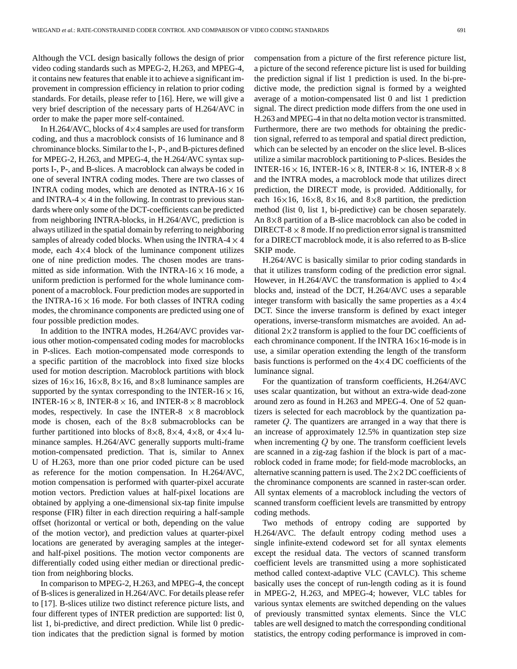Although the VCL design basically follows the design of prior video coding standards such as MPEG-2, H.263, and MPEG-4, it contains new features that enable it to achieve a significant improvement in compression efficiency in relation to prior coding standards. For details, please refer to [16]. Here, we will give a very brief description of the necessary parts of H.264/AVC in order to make the paper more self-contained.

In H.264/AVC, blocks of  $4 \times 4$  samples are used for transform coding, and thus a macroblock consists of 16 luminance and 8 chrominance blocks. Similar to the I-, P-, and B-pictures defined for MPEG-2, H.263, and MPEG-4, the H.264/AVC syntax supports I-, P-, and B-slices. A macroblock can always be coded in one of several INTRA coding modes. There are two classes of INTRA coding modes, which are denoted as INTRA- $16 \times 16$ and INTRA-4  $\times$  4 in the following. In contrast to previous standards where only some of the DCT-coefficients can be predicted from neighboring INTRA-blocks, in H.264/AVC, prediction is always utilized in the spatial domain by referring to neighboring samples of already coded blocks. When using the INTRA-4  $\times$  4 mode, each  $4 \times 4$  block of the luminance component utilizes one of nine prediction modes. The chosen modes are transmitted as side information. With the INTRA-16  $\times$  16 mode, a uniform prediction is performed for the whole luminance component of a macroblock. Four prediction modes are supported in the INTRA-16  $\times$  16 mode. For both classes of INTRA coding modes, the chrominance components are predicted using one of four possible prediction modes.

In addition to the INTRA modes, H.264/AVC provides various other motion-compensated coding modes for macroblocks in P-slices. Each motion-compensated mode corresponds to a specific partition of the macroblock into fixed size blocks used for motion description. Macroblock partitions with block sizes of  $16 \times 16$ ,  $16 \times 8$ ,  $8 \times 16$ , and  $8 \times 8$  luminance samples are supported by the syntax corresponding to the INTER-16  $\times$  16, INTER-16  $\times$  8, INTER-8  $\times$  16, and INTER-8  $\times$  8 macroblock modes, respectively. In case the INTER-8  $\times$  8 macroblock mode is chosen, each of the  $8 \times 8$  submacroblocks can be further partitioned into blocks of  $8 \times 8$ ,  $8 \times 4$ ,  $4 \times 8$ , or  $4 \times 4$  luminance samples. H.264/AVC generally supports multi-frame motion-compensated prediction. That is, similar to Annex U of H.263, more than one prior coded picture can be used as reference for the motion compensation. In H.264/AVC, motion compensation is performed with quarter-pixel accurate motion vectors. Prediction values at half-pixel locations are obtained by applying a one-dimensional six-tap finite impulse response (FIR) filter in each direction requiring a half-sample offset (horizontal or vertical or both, depending on the value of the motion vector), and prediction values at quarter-pixel locations are generated by averaging samples at the integerand half-pixel positions. The motion vector components are differentially coded using either median or directional prediction from neighboring blocks.

In comparison to MPEG-2, H.263, and MPEG-4, the concept of B-slices is generalized in H.264/AVC. For details please refer to [17]. B-slices utilize two distinct reference picture lists, and four different types of INTER prediction are supported: list 0, list 1, bi-predictive, and direct prediction. While list 0 prediction indicates that the prediction signal is formed by motion compensation from a picture of the first reference picture list, a picture of the second reference picture list is used for building the prediction signal if list 1 prediction is used. In the bi-predictive mode, the prediction signal is formed by a weighted average of a motion-compensated list 0 and list 1 prediction signal. The direct prediction mode differs from the one used in H.263 and MPEG-4 in that no delta motion vector is transmitted. Furthermore, there are two methods for obtaining the prediction signal, referred to as temporal and spatial direct prediction, which can be selected by an encoder on the slice level. B-slices utilize a similar macroblock partitioning to P-slices. Besides the INTER-16  $\times$  16, INTER-16  $\times$  8, INTER-8  $\times$  16, INTER-8  $\times$  8 and the INTRA modes, a macroblock mode that utilizes direct prediction, the DIRECT mode, is provided. Additionally, for each  $16 \times 16$ ,  $16 \times 8$ ,  $8 \times 16$ , and  $8 \times 8$  partition, the prediction method (list 0, list 1, bi-predictive) can be chosen separately. An  $8 \times 8$  partition of a B-slice macroblock can also be coded in DIRECT-8  $\times$  8 mode. If no prediction error signal is transmitted for a DIRECT macroblock mode, it is also referred to as B-slice SKIP mode.

H.264/AVC is basically similar to prior coding standards in that it utilizes transform coding of the prediction error signal. However, in H.264/AVC the transformation is applied to  $4 \times 4$ blocks and, instead of the DCT, H.264/AVC uses a separable integer transform with basically the same properties as a  $4 \times 4$ DCT. Since the inverse transform is defined by exact integer operations, inverse-transform mismatches are avoided. An additional  $2\times 2$  transform is applied to the four DC coefficients of each chrominance component. If the INTRA  $16\times 16$ -mode is in use, a similar operation extending the length of the transform basis functions is performed on the  $4 \times 4$  DC coefficients of the luminance signal.

For the quantization of transform coefficients, H.264/AVC uses scalar quantization, but without an extra-wide dead-zone around zero as found in H.263 and MPEG-4. One of 52 quantizers is selected for each macroblock by the quantization parameter  $Q$ . The quantizers are arranged in a way that there is an increase of approximately 12.5% in quantization step size when incrementing  $Q$  by one. The transform coefficient levels are scanned in a zig-zag fashion if the block is part of a macroblock coded in frame mode; for field-mode macroblocks, an alternative scanning pattern is used. The  $2 \times 2$  DC coefficients of the chrominance components are scanned in raster-scan order. All syntax elements of a macroblock including the vectors of scanned transform coefficient levels are transmitted by entropy coding methods.

Two methods of entropy coding are supported by H.264/AVC. The default entropy coding method uses a single infinite-extend codeword set for all syntax elements except the residual data. The vectors of scanned transform coefficient levels are transmitted using a more sophisticated method called context-adaptive VLC (CAVLC). This scheme basically uses the concept of run-length coding as it is found in MPEG-2, H.263, and MPEG-4; however, VLC tables for various syntax elements are switched depending on the values of previously transmitted syntax elements. Since the VLC tables are well designed to match the corresponding conditional statistics, the entropy coding performance is improved in com-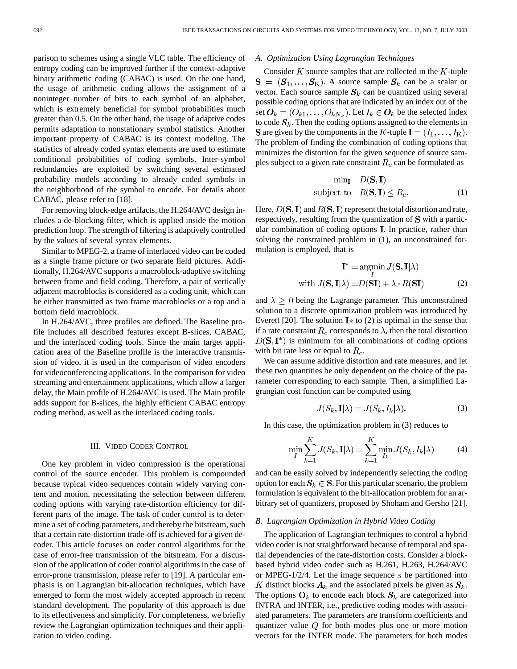parison to schemes using a single VLC table. The efficiency of entropy coding can be improved further if the context-adaptive binary arithmetic coding (CABAC) is used. On the one hand, the usage of arithmetic coding allows the assignment of a noninteger number of bits to each symbol of an alphabet, which is extremely beneficial for symbol probabilities much greater than 0.5. On the other hand, the usage of adaptive codes permits adaptation to nonstationary symbol statistics. Another important property of CABAC is its context modeling. The statistics of already coded syntax elements are used to estimate conditional probabilities of coding symbols. Inter-symbol redundancies are exploited by switching several estimated probability models according to already coded symbols in the neighborhood of the symbol to encode. For details about CABAC, please refer to [18].

For removing block-edge artifacts, the H.264/AVC design includes a de-blocking filter, which is applied inside the motion prediction loop. The strength of filtering is adaptively controlled by the values of several syntax elements.

Similar to MPEG-2, a frame of interlaced video can be coded as a single frame picture or two separate field pictures. Additionally, H.264/AVC supports a macroblock-adaptive switching between frame and field coding. Therefore, a pair of vertically adjacent macroblocks is considered as a coding unit, which can be either transmitted as two frame macroblocks or a top and a bottom field macroblock.

In H.264/AVC, three profiles are defined. The Baseline profile includes all described features except B-slices, CABAC, and the interlaced coding tools. Since the main target application area of the Baseline profile is the interactive transmission of video, it is used in the comparison of video encoders for videoconferencing applications. In the comparison for video streaming and entertainment applications, which allow a larger delay, the Main profile of H.264/AVC is used. The Main profile adds support for B-slices, the highly efficient CABAC entropy coding method, as well as the interlaced coding tools.

## III. VIDEO CODER CONTROL

One key problem in video compression is the operational control of the source encoder. This problem is compounded because typical video sequences contain widely varying content and motion, necessitating the selection between different coding options with varying rate-distortion efficiency for different parts of the image. The task of coder control is to determine a set of coding parameters, and thereby the bitstream, such that a certain rate-distortion trade-off is achieved for a given decoder. This article focuses on coder control algorithms for the case of error-free transmission of the bitstream. For a discussion of the application of coder control algorithms in the case of error-prone transmission, please refer to [19]. A particular emphasis is on Lagrangian bit-allocation techniques, which have emerged to form the most widely accepted approach in recent standard development. The popularity of this approach is due to its effectiveness and simplicity. For completeness, we briefly review the Lagrangian optimization techniques and their application to video coding.

## *A. Optimization Using Lagrangian Techniques*

Consider  $K$  source samples that are collected in the  $K$ -tuple  $S = (S_1, \ldots, S_K)$ . A source sample  $S_k$  can be a scalar or vector. Each source sample  $S_k$  can be quantized using several possible coding options that are indicated by an index out of the set  $O_k = (O_{k1}, \ldots, O_{kN_k})$ . Let  $I_k \in O_k$  be the selected index to code  $S_k$ . Then the coding options assigned to the elements in **S** are given by the components in the K-tuple  $I = (I_1, \ldots, I_K)$ . The problem of finding the combination of coding options that minimizes the distortion for the given sequence of source samples subject to a given rate constraint  $R_c$  can be formulated as

$$
\min_{\mathbf{I}} \quad D(\mathbf{S}, \mathbf{I})
$$
\n
$$
\text{subject to} \quad R(\mathbf{S}, \mathbf{I}) \le R_c. \tag{1}
$$

Here,  $D(S, I)$  and  $R(S, I)$  represent the total distortion and rate, respectively, resulting from the quantization of  $S$  with a particular combination of coding options  $I$ . In practice, rather than solving the constrained problem in  $(1)$ , an unconstrained formulation is employed, that is

$$
\mathbf{I}^* = \underset{I}{\text{argmin}} J(\mathbf{S}, \mathbf{I}|\lambda)
$$
  
with  $J(\mathbf{S}, \mathbf{I}|\lambda) = D(\mathbf{SI}) + \lambda \cdot R(\mathbf{SI})$  (2)

and  $\lambda \geq 0$  being the Lagrange parameter. This unconstrained solution to a discrete optimization problem was introduced by Everett [20]. The solution  $\mathbf{I} *$  to (2) is optimal in the sense that if a rate constraint  $R_c$  corresponds to  $\lambda$ , then the total distortion  $D(S, I^*)$  is minimum for all combinations of coding options with bit rate less or equal to  $R_c$ .

We can assume additive distortion and rate measures, and let these two quantities be only dependent on the choice of the parameter corresponding to each sample. Then, a simplified Lagrangian cost function can be computed using

$$
J(S_k, \mathbf{I}|\lambda) = J(S_k, I_k|\lambda). \tag{3}
$$

In this case, the optimization problem in (3) reduces to

$$
\min_{I} \sum_{k=1}^{K} J(S_k, \mathbf{I}|\lambda) = \sum_{k=1}^{K} \min_{I_k} J(S_k, I_k|\lambda)
$$
(4)

and can be easily solved by independently selecting the coding option for each  $S_k \in S$ . For this particular scenario, the problem formulation is equivalent to the bit-allocation problem for an arbitrary set of quantizers, proposed by Shoham and Gersho [21].

#### *B. Lagrangian Optimization in Hybrid Video Coding*

The application of Lagrangian techniques to control a hybrid video coder is not straightforward because of temporal and spatial dependencies of the rate-distortion costs. Consider a blockbased hybrid video codec such as H.261, H.263, H.264/AVC or MPEG-1/2/4. Let the image sequence  $s$  be partitioned into K distinct blocks  $A_k$  and the associated pixels be given as  $S_k$ . The options  $\mathbf{O}_k$  to encode each block  $S_k$  are categorized into INTRA and INTER, i.e., predictive coding modes with associated parameters. The parameters are transform coefficients and quantizer value  $Q$  for both modes plus one or more motion vectors for the INTER mode. The parameters for both modes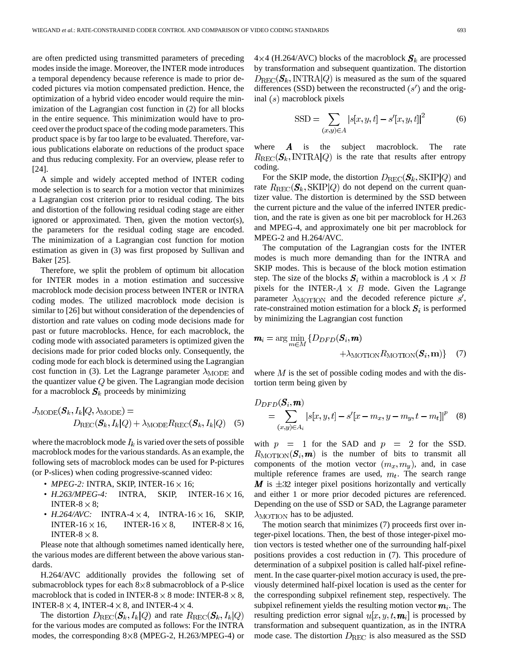are often predicted using transmitted parameters of preceding modes inside the image. Moreover, the INTER mode introduces a temporal dependency because reference is made to prior decoded pictures via motion compensated prediction. Hence, the optimization of a hybrid video encoder would require the minimization of the Lagrangian cost function in (2) for all blocks in the entire sequence. This minimization would have to proceed over the product space of the coding mode parameters. This product space is by far too large to be evaluated. Therefore, various publications elaborate on reductions of the product space and thus reducing complexity. For an overview, please refer to [24].

A simple and widely accepted method of INTER coding mode selection is to search for a motion vector that minimizes a Lagrangian cost criterion prior to residual coding. The bits and distortion of the following residual coding stage are either ignored or approximated. Then, given the motion vector(s), the parameters for the residual coding stage are encoded. The minimization of a Lagrangian cost function for motion estimation as given in (3) was first proposed by Sullivan and Baker [25].

Therefore, we split the problem of optimum bit allocation for INTER modes in a motion estimation and successive macroblock mode decision process between INTER or INTRA coding modes. The utilized macroblock mode decision is similar to [26] but without consideration of the dependencies of distortion and rate values on coding mode decisions made for past or future macroblocks. Hence, for each macroblock, the coding mode with associated parameters is optimized given the decisions made for prior coded blocks only. Consequently, the coding mode for each block is determined using the Lagrangian cost function in (3). Let the Lagrange parameter  $\lambda_{\text{MODE}}$  and the quantizer value  $Q$  be given. The Lagrangian mode decision for a macroblock  $S_k$  proceeds by minimizing

$$
J_{\text{MODE}}(\mathbf{S}_k, I_k | Q, \lambda_{\text{MODE}}) =
$$
  

$$
D_{\text{REC}}(\mathbf{S}_k, I_k | Q) + \lambda_{\text{MODE}} R_{\text{REC}}(\mathbf{S}_k, I_k | Q) \quad (5)
$$

where the macroblock mode  $I_k$  is varied over the sets of possible macroblock modes for the various standards. As an example, the following sets of macroblock modes can be used for P-pictures (or P-slices) when coding progressive-scanned video:

- $\bullet$  *MPEG-2:* INTRA, SKIP, INTER-16  $\times$  16;
- *H.263/MPEG-4:* INTRA, SKIP, INTER-16 × 16, INTER- $8 \times 8$ ;
- $H.264/AVC$ : INTRA-4  $\times$  4, INTRA-16  $\times$  16, SKIP, INTER-16  $\times$  16, INTER-16  $\times$  8, INTER-8  $\times$  16, INTER- $8 \times 8$ .

Please note that although sometimes named identically here, the various modes are different between the above various standards.

H.264/AVC additionally provides the following set of submacroblock types for each  $8 \times 8$  submacroblock of a P-slice macroblock that is coded in INTER-8  $\times$  8 mode: INTER-8  $\times$  8, INTER-8  $\times$  4, INTER-4  $\times$  8, and INTER-4  $\times$  4.

The distortion  $D_{\text{REC}}(S_k, I_k|Q)$  and rate  $R_{\text{REC}}(S_k, I_k|Q)$ for the various modes are computed as follows: For the INTRA modes, the corresponding  $8 \times 8$  (MPEG-2, H.263/MPEG-4) or  $4 \times 4$  (H.264/AVC) blocks of the macroblock  $S_k$  are processed by transformation and subsequent quantization. The distortion  $D_{\text{REC}}(\mathbf{S}_k, \text{INTRA}|Q)$  is measured as the sum of the squared differences (SSD) between the reconstructed  $(s')$  and the original  $(s)$  macroblock pixels

$$
SSD = \sum_{(x,y)\in A} |s[x, y, t] - s'[x, y, t]|^2
$$
 (6)

where  $\overrightarrow{A}$  is the subject macroblock. The rate  $R_{\text{REC}}(S_k, \text{INTRA}|Q)$  is the rate that results after entropy coding.

For the SKIP mode, the distortion  $D_{\text{REC}}(S_k, \text{SKIP}|Q)$  and rate  $R_{\text{REC}}(\mathbf{S}_k, \text{SKIP}|Q)$  do not depend on the current quantizer value. The distortion is determined by the SSD between the current picture and the value of the inferred INTER prediction, and the rate is given as one bit per macroblock for H.263 and MPEG-4, and approximately one bit per macroblock for MPEG-2 and H.264/AVC.

The computation of the Lagrangian costs for the INTER modes is much more demanding than for the INTRA and SKIP modes. This is because of the block motion estimation step. The size of the blocks  $S_i$  within a macroblock is  $A \times B$ pixels for the INTER- $A \times B$  mode. Given the Lagrange parameter  $\lambda_{\text{MOTION}}$  and the decoded reference picture s', rate-constrained motion estimation for a block  $S_i$  is performed by minimizing the Lagrangian cost function

$$
\boldsymbol{m}_i = \arg\min_{m \in M} \left\{ D_{DFD}(\boldsymbol{S}_i, \boldsymbol{m}) + \lambda_{\text{MOTION}} R_{\text{MOTION}}(\boldsymbol{S}_i, \boldsymbol{m}) \right\} \quad (7)
$$

where  $M$  is the set of possible coding modes and with the distortion term being given by

$$
D_{DFD}(\mathbf{S}_i, \mathbf{m}) = \sum_{(x,y)\in A_i} |s[x, y, t] - s'[x - m_x, y - m_y, t - m_t]|^p \quad (8)
$$

with  $p = 1$  for the SAD and  $p = 2$  for the SSD.  $R_{\text{MOTION}}(\mathbf{S}_i, \mathbf{m})$  is the number of bits to transmit all components of the motion vector  $(m_x, m_y)$ , and, in case multiple reference frames are used,  $m_t$ . The search range  $\dot{M}$  is  $\pm 32$  integer pixel positions horizontally and vertically and either 1 or more prior decoded pictures are referenced. Depending on the use of SSD or SAD, the Lagrange parameter  $\lambda_{\text{MOTION}}$  has to be adjusted.

The motion search that minimizes (7) proceeds first over integer-pixel locations. Then, the best of those integer-pixel motion vectors is tested whether one of the surrounding half-pixel positions provides a cost reduction in (7). This procedure of determination of a subpixel position is called half-pixel refinement. In the case quarter-pixel motion accuracy is used, the previously determined half-pixel location is used as the center for the corresponding subpixel refinement step, respectively. The subpixel refinement yields the resulting motion vector  $m_i$ . The resulting prediction error signal  $u[x, y, t, m_i]$  is processed by transformation and subsequent quantization, as in the INTRA mode case. The distortion  $D_{\text{REC}}$  is also measured as the SSD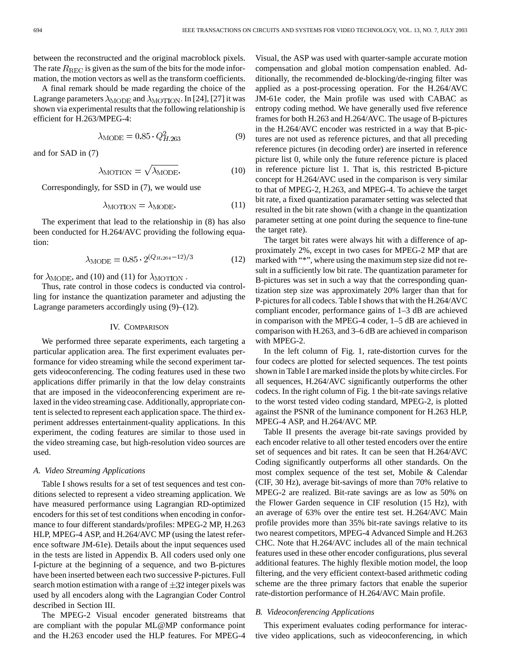between the reconstructed and the original macroblock pixels. The rate  $R_{\text{REC}}$  is given as the sum of the bits for the mode information, the motion vectors as well as the transform coefficients.

A final remark should be made regarding the choice of the Lagrange parameters  $\lambda_{\text{MODE}}$  and  $\lambda_{\text{MOTION}}$ . In [24], [27] it was shown via experimental results that the following relationship is efficient for H.263/MPEG-4:

$$
\lambda_{\text{MODE}} = 0.85 \cdot Q_{H.263}^2 \tag{9}
$$

and for SAD in (7)

$$
\lambda_{\text{MOTION}} = \sqrt{\lambda_{\text{MODE}}}.\tag{10}
$$

Correspondingly, for SSD in (7), we would use

$$
\lambda_{\text{MOTION}} = \lambda_{\text{MODE}}.\tag{11}
$$

The experiment that lead to the relationship in (8) has also been conducted for H.264/AVC providing the following equation:

$$
\lambda_{\text{MODE}} = 0.85 \cdot 2^{(Q_{H.264} - 12)/3} \tag{12}
$$

for  $\lambda_{\text{MODE}}$ , and (10) and (11) for  $\lambda_{\text{MOTION}}$ .

Thus, rate control in those codecs is conducted via controlling for instance the quantization parameter and adjusting the Lagrange parameters accordingly using (9)–(12).

#### IV. COMPARISON

We performed three separate experiments, each targeting a particular application area. The first experiment evaluates performance for video streaming while the second experiment targets videoconferencing. The coding features used in these two applications differ primarily in that the low delay constraints that are imposed in the videoconferencing experiment are relaxed in the video streaming case. Additionally, appropriate content is selected to represent each application space. The third experiment addresses entertainment-quality applications. In this experiment, the coding features are similar to those used in the video streaming case, but high-resolution video sources are used.

#### *A. Video Streaming Applications*

Table I shows results for a set of test sequences and test conditions selected to represent a video streaming application. We have measured performance using Lagrangian RD-optimized encoders for this set of test conditions when encoding in conformance to four different standards/profiles: MPEG-2 MP, H.263 HLP, MPEG-4 ASP, and H.264/AVC MP (using the latest reference software JM-61e). Details about the input sequences used in the tests are listed in Appendix B. All coders used only one I-picture at the beginning of a sequence, and two B-pictures have been inserted between each two successive P-pictures. Full search motion estimation with a range of  $\pm 32$  integer pixels was used by all encoders along with the Lagrangian Coder Control described in Section III.

The MPEG-2 Visual encoder generated bitstreams that are compliant with the popular ML@MP conformance point and the H.263 encoder used the HLP features. For MPEG-4

Visual, the ASP was used with quarter-sample accurate motion compensation and global motion compensation enabled. Additionally, the recommended de-blocking/de-ringing filter was applied as a post-processing operation. For the H.264/AVC JM-61e coder, the Main profile was used with CABAC as entropy coding method. We have generally used five reference frames for both H.263 and H.264/AVC. The usage of B-pictures in the H.264/AVC encoder was restricted in a way that B-pictures are not used as reference pictures, and that all preceding reference pictures (in decoding order) are inserted in reference picture list 0, while only the future reference picture is placed in reference picture list 1. That is, this restricted B-picture concept for H.264/AVC used in the comparison is very similar to that of MPEG-2, H.263, and MPEG-4. To achieve the target bit rate, a fixed quantization paramater setting was selected that resulted in the bit rate shown (with a change in the quantization parameter setting at one point during the sequence to fine-tune the target rate).

The target bit rates were always hit with a difference of approximately 2%, except in two cases for MPEG-2 MP that are marked with "\*", where using the maximum step size did not result in a sufficiently low bit rate. The quantization parameter for B-pictures was set in such a way that the corresponding quantization step size was approximately 20% larger than that for P-pictures for all codecs. Table I shows that with the H.264/AVC compliant encoder, performance gains of 1–3 dB are achieved in comparison with the MPEG-4 coder, 1–5 dB are achieved in comparison with H.263, and 3–6 dB are achieved in comparison with MPEG-2.

In the left column of Fig. 1, rate-distortion curves for the four codecs are plotted for selected sequences. The test points shown in Table I are marked inside the plots by white circles. For all sequences, H.264/AVC significantly outperforms the other codecs. In the right column of Fig. 1 the bit-rate savings relative to the worst tested video coding standard, MPEG-2, is plotted against the PSNR of the luminance component for H.263 HLP, MPEG-4 ASP, and H.264/AVC MP.

Table II presents the average bit-rate savings provided by each encoder relative to all other tested encoders over the entire set of sequences and bit rates. It can be seen that H.264/AVC Coding significantly outperforms all other standards. On the most complex sequence of the test set, Mobile & Calendar (CIF, 30 Hz), average bit-savings of more than 70% relative to MPEG-2 are realized. Bit-rate savings are as low as 50% on the Flower Garden sequence in CIF resolution (15 Hz), with an average of 63% over the entire test set. H.264/AVC Main profile provides more than 35% bit-rate savings relative to its two nearest competitors, MPEG-4 Advanced Simple and H.263 CHC. Note that H.264/AVC includes all of the main technical features used in these other encoder configurations, plus several additional features. The highly flexible motion model, the loop filtering, and the very efficient context-based arithmetic coding scheme are the three primary factors that enable the superior rate-distortion performance of H.264/AVC Main profile.

## *B. Videoconferencing Applications*

This experiment evaluates coding performance for interactive video applications, such as videoconferencing, in which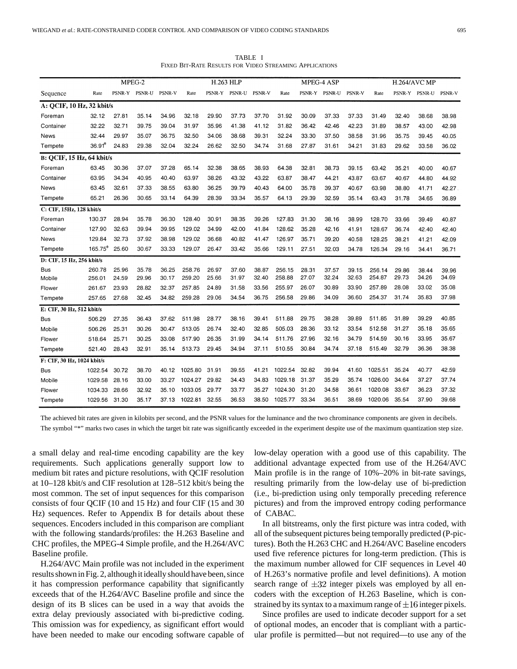TABLE I FIXED BIT-RATE RESULTS FOR VIDEO STREAMING APPLICATIONS

|                                  |          | MPEG-2 |               |               |         | <b>H.263 HLP</b> |        |               |         | MPEG-4 ASP |               |        |         | <b>H.264/AVC MP</b> |               |               |  |
|----------------------------------|----------|--------|---------------|---------------|---------|------------------|--------|---------------|---------|------------|---------------|--------|---------|---------------------|---------------|---------------|--|
| Sequence                         | Rate     |        | PSNR-Y PSNR-U | <b>PSNR-V</b> | Rate    | PSNR-Y           | PSNR-U | <b>PSNR-V</b> | Rate    | PSNR-Y     | <b>PSNR-U</b> | PSNR-V | Rate    |                     | PSNR-Y PSNR-U | <b>PSNR-V</b> |  |
| A: OCIF, 10 Hz, 32 kbit/s        |          |        |               |               |         |                  |        |               |         |            |               |        |         |                     |               |               |  |
| Foreman                          | 32.12    | 27.81  | 35.14         | 34.96         | 32.18   | 29.90            | 37.73  | 37.70         | 31.92   | 30.09      | 37.33         | 37.33  | 31.49   | 32.40               | 38.68         | 38.98         |  |
| Container                        | 32.22    | 32.71  | 39.75         | 39.04         | 31.97   | 35.96            | 41.38  | 41.12         | 31.82   | 36.42      | 42.46         | 42.23  | 31.89   | 38.57               | 43.00         | 42.98         |  |
| News                             | 32.44    | 29.97  | 35.07         | 36.75         | 32.50   | 34.06            | 38.68  | 39.31         | 32.24   | 33.30      | 37.50         | 38.58  | 31.96   | 35.75               | 39.45         | 40.05         |  |
| Tempete                          | $36.91*$ | 24.83  | 29.38         | 32.04         | 32.24   | 26.62            | 32.50  | 34.74         | 31.68   | 27.87      | 31.61         | 34.21  | 31.83   | 29.62               | 33.58         | 36.02         |  |
| <b>B: QCIF, 15 Hz, 64 kbit/s</b> |          |        |               |               |         |                  |        |               |         |            |               |        |         |                     |               |               |  |
| Foreman                          | 63.45    | 30.36  | 37.07         | 37.28         | 65.14   | 32.38            | 38.65  | 38.93         | 64.38   | 32.81      | 38.73         | 39.15  | 63.42   | 35.21               | 40.00         | 40.67         |  |
| Container                        | 63.95    | 34.34  | 40.95         | 40.40         | 63.97   | 38.26            | 43.32  | 43.22         | 63.87   | 38.47      | 44.21         | 43.87  | 63.67   | 40.67               | 44.80         | 44.92         |  |
| <b>News</b>                      | 63.45    | 32.61  | 37.33         | 38.55         | 63.80   | 36.25            | 39.79  | 40.43         | 64.00   | 35.78      | 39.37         | 40.67  | 63.98   | 38.80               | 41.71         | 42.27         |  |
| Tempete                          | 65.21    | 26.36  | 30.65         | 33.14         | 64.39   | 28.39            | 33.34  | 35.57         | 64.13   | 29.39      | 32.59         | 35.14  | 63.43   | 31.78               | 34.65         | 36.89         |  |
| C: CIF, 15Hz, 128 kbit/s         |          |        |               |               |         |                  |        |               |         |            |               |        |         |                     |               |               |  |
| Foreman                          | 130.37   | 28.94  | 35.78         | 36.30         | 128.40  | 30.91            | 38.35  | 39.26         | 127.83  | 31.30      | 38.16         | 38.99  | 128.70  | 33.66               | 39.49         | 40.87         |  |
| Container                        | 127.90   | 32.63  | 39.94         | 39.95         | 129.02  | 34.99            | 42.00  | 41.84         | 128.62  | 35.28      | 42.16         | 41.91  | 128.67  | 36.74               | 42.40         | 42.40         |  |
| <b>News</b>                      | 129.84   | 32.73  | 37.92         | 38.98         | 129.02  | 36.68            | 40.82  | 41.47         | 126.97  | 35.71      | 39.20         | 40.58  | 128.25  | 38.21               | 41.21         | 42.09         |  |
| Tempete                          | 165.75*  | 25.60  | 30.67         | 33.33         | 129.07  | 26.47            | 33.42  | 35.66         | 129.11  | 27.51      | 32.03         | 34.78  | 126.34  | 29.16               | 34.41         | 36.71         |  |
| D: CIF, 15 Hz, 256 kbit/s        |          |        |               |               |         |                  |        |               |         |            |               |        |         |                     |               |               |  |
| Bus                              | 260.78   | 25.96  | 35.78         | 36.25         | 258.76  | 26.97            | 37.60  | 38.87         | 256.15  | 28.31      | 37.57         | 39.15  | 256.14  | 29.86               | 38.44         | 39.96         |  |
| Mobile                           | 256.01   | 24.59  | 29.96         | 30.17         | 259.20  | 25.66            | 31.97  | 32.40         | 258.88  | 27.07      | 32.24         | 32.63  | 254.87  | 29.73               | 34.26         | 34.69         |  |
| Flower                           | 261.67   | 23.93  | 28.82         | 32.37         | 257.85  | 24.89            | 31.58  | 33.56         | 255.97  | 26.07      | 30.89         | 33.90  | 257.89  | 28.08               | 33.02         | 35.08         |  |
| Tempete                          | 257.65   | 27.68  | 32.45         | 34.82         | 259.28  | 29.06            | 34.54  | 36.75         | 256.58  | 29.86      | 34.09         | 36.60  | 254.37  | 31.74               | 35.83         | 37.98         |  |
| E: CIF, 30 Hz, 512 kbit/s        |          |        |               |               |         |                  |        |               |         |            |               |        |         |                     |               |               |  |
| Bus                              | 506.29   | 27.35  | 36.43         | 37.62         | 511.98  | 28.77            | 38.16  | 39.41         | 511.88  | 29.75      | 38.28         | 39.89  | 511.85  | 31.89               | 39.29         | 40.85         |  |
| Mobile                           | 506.26   | 25.31  | 30.26         | 30.47         | 513.05  | 26.74            | 32.40  | 32.85         | 505.03  | 28.36      | 33.12         | 33.54  | 512.58  | 31.27               | 35.18         | 35.65         |  |
| Flower                           | 518.64   | 25.71  | 30.25         | 33.08         | 517.90  | 26.35            | 31.99  | 34.14         | 511.76  | 27.96      | 32.16         | 34.79  | 514.59  | 30.16               | 33.95         | 35.67         |  |
| Tempete                          | 521.40   | 28.43  | 32.91         | 35.14         | 513.73  | 29.45            | 34.94  | 37.11         | 510.55  | 30.84      | 34.74         | 37.18  | 515.49  | 32.79               | 36.36         | 38.38         |  |
| F: CIF, 30 Hz, 1024 kbit/s       |          |        |               |               |         |                  |        |               |         |            |               |        |         |                     |               |               |  |
| Bus                              | 1022.54  | 30.72  | 38.70         | 40.12         | 1025.80 | 31.91            | 39.55  | 41.21         | 1022.54 | 32.82      | 39.94         | 41.60  | 1025.51 | 35.24               | 40.77         | 42.59         |  |
| Mobile                           | 1029.58  | 28.16  | 33.00         | 33.27         | 1024.27 | 29.82            | 34.43  | 34.83         | 1029.18 | 31.37      | 35.29         | 35.74  | 1026.00 | 34.64               | 37.27         | 37.74         |  |
| Flower                           | 1034.33  | 28.66  | 32.92         | 35.10         | 1033.05 | 29.77            | 33.77  | 35.27         | 1024.30 | 31.20      | 34.58         | 36.61  | 1020.08 | 33.67               | 36.23         | 37.32         |  |
| Tempete                          | 1029.56  | 31.30  | 35.17         | 37.13         | 1022.81 | 32.55            | 36.53  | 38.50         | 1025.77 | 33.34      | 36.51         | 38.69  | 1020.06 | 35.54               | 37.90         | 39.68         |  |

The achieved bit rates are given in kilobits per second, and the PSNR values for the luminance and the two chrominance components are given in decibels.

The symbol "\*" marks two cases in which the target bit rate was significantly exceeded in the experiment despite use of the maximum quantization step size.

a small delay and real-time encoding capability are the key requirements. Such applications generally support low to medium bit rates and picture resolutions, with QCIF resolution at 10–128 kbit/s and CIF resolution at 128–512 kbit/s being the most common. The set of input sequences for this comparison consists of four QCIF (10 and 15 Hz) and four CIF (15 and 30 Hz) sequences. Refer to Appendix B for details about these sequences. Encoders included in this comparison are compliant with the following standards/profiles: the H.263 Baseline and CHC profiles, the MPEG-4 Simple profile, and the H.264/AVC Baseline profile.

H.264/AVC Main profile was not included in the experiment results shown in Fig. 2, although it ideally should have been, since it has compression performance capability that significantly exceeds that of the H.264/AVC Baseline profile and since the design of its B slices can be used in a way that avoids the extra delay previously associated with bi-predictive coding. This omission was for expediency, as significant effort would have been needed to make our encoding software capable of low-delay operation with a good use of this capability. The additional advantage expected from use of the H.264/AVC Main profile is in the range of 10%–20% in bit-rate savings, resulting primarily from the low-delay use of bi-prediction (i.e., bi-prediction using only temporally preceding reference pictures) and from the improved entropy coding performance of CABAC.

In all bitstreams, only the first picture was intra coded, with all of the subsequent pictures being temporally predicted (P-pictures). Both the H.263 CHC and H.264/AVC Baseline encoders used five reference pictures for long-term prediction. (This is the maximum number allowed for CIF sequences in Level 40 of H.263's normative profile and level definitions). A motion search range of  $\pm 32$  integer pixels was employed by all encoders with the exception of H.263 Baseline, which is constrained by its syntax to a maximum range of  $\pm 16$  integer pixels.

Since profiles are used to indicate decoder support for a set of optional modes, an encoder that is compliant with a particular profile is permitted—but not required—to use any of the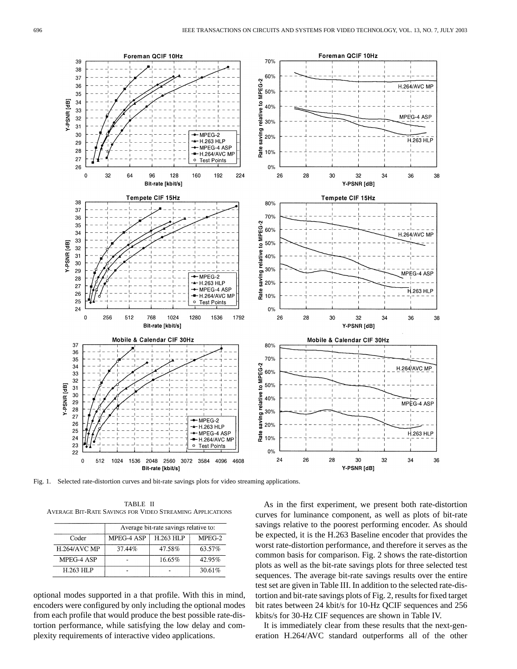

Fig. 1. Selected rate-distortion curves and bit-rate savings plots for video streaming applications.

TABLE II AVERAGE BIT-RATE SAVINGS FOR VIDEO STREAMING APPLICATIONS

|                     | Average bit-rate savings relative to: |                  |        |  |  |  |  |  |
|---------------------|---------------------------------------|------------------|--------|--|--|--|--|--|
| Coder               | MPEG-4 ASP                            | <b>H.263 HLP</b> | MPEG-2 |  |  |  |  |  |
| <b>H.264/AVC MP</b> | 37.44%                                | 47.58%           | 63.57% |  |  |  |  |  |
| MPEG-4 ASP          |                                       | 16.65%           | 42.95% |  |  |  |  |  |
| H.263 HLP           |                                       |                  | 30.61% |  |  |  |  |  |

optional modes supported in a that profile. With this in mind, encoders were configured by only including the optional modes from each profile that would produce the best possible rate-distortion performance, while satisfying the low delay and complexity requirements of interactive video applications.

As in the first experiment, we present both rate-distortion curves for luminance component, as well as plots of bit-rate savings relative to the poorest performing encoder. As should be expected, it is the H.263 Baseline encoder that provides the worst rate-distortion performance, and therefore it serves as the common basis for comparison. Fig. 2 shows the rate-distortion plots as well as the bit-rate savings plots for three selected test sequences. The average bit-rate savings results over the entire test set are given in Table III. In addition to the selected rate-distortion and bit-rate savings plots of Fig. 2, results for fixed target bit rates between 24 kbit/s for 10-Hz QCIF sequences and 256 kbits/s for 30-Hz CIF sequences are shown in Table IV.

It is immediately clear from these results that the next-generation H.264/AVC standard outperforms all of the other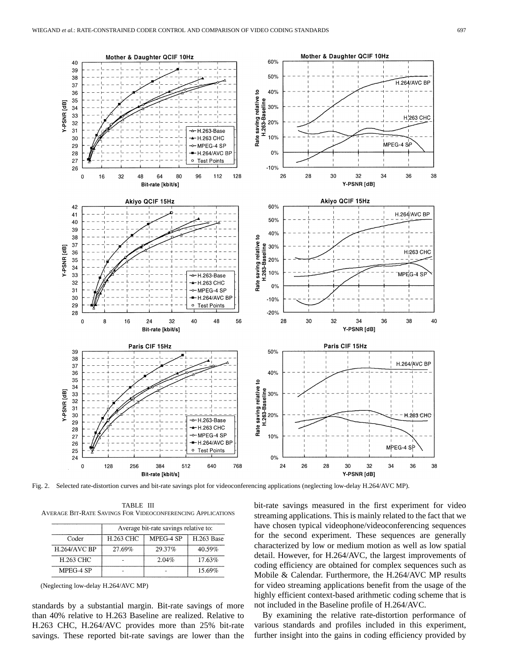

Fig. 2. Selected rate-distortion curves and bit-rate savings plot for videoconferencing applications (neglecting low-delay H.264/AVC MP).

TABLE III AVERAGE BIT-RATE SAVINGS FOR VIDEOCONFERENCING APPLICATIONS

|                     | Average bit-rate savings relative to: |           |            |  |  |  |  |  |
|---------------------|---------------------------------------|-----------|------------|--|--|--|--|--|
| Coder               | <b>H.263 CHC</b>                      | MPEG-4 SP | H.263 Base |  |  |  |  |  |
| <b>H.264/AVC BP</b> | 27.69%                                | 29.37%    | 40.59%     |  |  |  |  |  |
| <b>H.263 CHC</b>    |                                       | 2.04%     | 17.63%     |  |  |  |  |  |
| MPEG-4 SP           |                                       |           | 15.69%     |  |  |  |  |  |

(Neglecting low-delay H.264/AVC MP)

standards by a substantial margin. Bit-rate savings of more than 40% relative to H.263 Baseline are realized. Relative to H.263 CHC, H.264/AVC provides more than 25% bit-rate savings. These reported bit-rate savings are lower than the bit-rate savings measured in the first experiment for video streaming applications. This is mainly related to the fact that we have chosen typical videophone/videoconferencing sequences for the second experiment. These sequences are generally characterized by low or medium motion as well as low spatial detail. However, for H.264/AVC, the largest improvements of coding efficiency are obtained for complex sequences such as Mobile & Calendar. Furthermore, the H.264/AVC MP results for video streaming applications benefit from the usage of the highly efficient context-based arithmetic coding scheme that is not included in the Baseline profile of H.264/AVC.

By examining the relative rate-distortion performance of various standards and profiles included in this experiment, further insight into the gains in coding efficiency provided by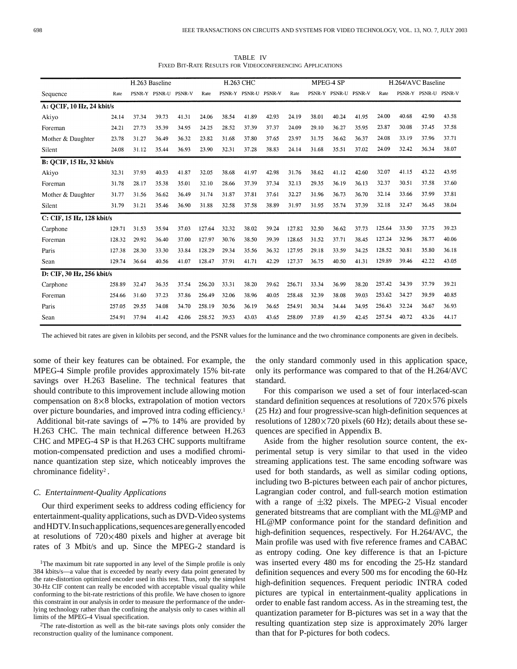TABLE IV FIXED BIT-RATE RESULTS FOR VIDEOCONFERENCING APPLICATIONS

|                           | H.263 Baseline |       |               | <b>H.263 CHC</b> |        |       |                      | MPEG-4 SP |        |       |                      | H.264/AVC Baseline |        |       |                      |       |
|---------------------------|----------------|-------|---------------|------------------|--------|-------|----------------------|-----------|--------|-------|----------------------|--------------------|--------|-------|----------------------|-------|
| Sequence                  | Rate           |       | PSNR-Y PSNR-U | <b>PSNR-V</b>    | Rate   |       | PSNR-Y PSNR-U PSNR-V |           | Rate   |       | PSNR-Y PSNR-U PSNR-V |                    | Rate   |       | PSNR-Y PSNR-U PSNR-V |       |
| A: OCIF, 10 Hz, 24 kbit/s |                |       |               |                  |        |       |                      |           |        |       |                      |                    |        |       |                      |       |
| Akiyo                     | 24.14          | 37.34 | 39.73         | 41.31            | 24.06  | 38.54 | 41.89                | 42.93     | 24.19  | 38.01 | 40.24                | 41.95              | 24.00  | 40.68 | 42.90                | 43.58 |
| Foreman                   | 24.21          | 27.73 | 35 39         | 34.95            | 24.25  | 28.52 | 37.39                | 37.37     | 24.09  | 29.10 | 36.27                | 35.95              | 23.87  | 30.08 | 37.45                | 37.58 |
| Mother & Daughter         | 23.78          | 31.27 | 36.49         | 36.32            | 23.82  | 31.68 | 37.80                | 37.65     | 23.97  | 31.75 | 36.62                | 36.37              | 24.08  | 33.19 | 37.96                | 37.71 |
| Silent                    | 24.08          | 31.12 | 35.44         | 36.93            | 23.90  | 32.31 | 37.28                | 38.83     | 24.14  | 31.68 | 35.51                | 37.02              | 24.09  | 32.42 | 36.34                | 38.07 |
| B: OCIF, 15 Hz, 32 kbit/s |                |       |               |                  |        |       |                      |           |        |       |                      |                    |        |       |                      |       |
| Akiyo                     | 32.31          | 37.93 | 40.53         | 41.87            | 32.05  | 38.68 | 41.97                | 42.98     | 31.76  | 38.62 | 41.12                | 42.60              | 32.07  | 41.15 | 43.22                | 43.95 |
| Foreman                   | 31.78          | 28.17 | 35.38         | 35.01            | 32.10  | 28.66 | 37.39                | 37.34     | 32.13  | 29.35 | 36.19                | 36.13              | 32.37  | 30.51 | 37.58                | 37.60 |
| Mother & Daughter         | 31.77          | 31.56 | 36.62         | 36.49            | 31.74  | 31.87 | 37.81                | 37.61     | 32.27  | 31.96 | 36.73                | 36.70              | 32.14  | 33.66 | 37.99                | 37.81 |
| Silent                    | 31.79          | 31.21 | 35.46         | 36.90            | 31.88  | 32.58 | 37.58                | 38.89     | 31.97  | 31.95 | 35.74                | 37.39              | 32.18  | 32.47 | 36.45                | 38.04 |
| C: CIF, 15 Hz, 128 kbit/s |                |       |               |                  |        |       |                      |           |        |       |                      |                    |        |       |                      |       |
| Carphone                  | 129.71         | 31.53 | 35.94         | 37.03            | 127.64 | 32.32 | 38.02                | 39.24     | 127.82 | 32.50 | 36.62                | 37.73              | 125.64 | 33.50 | 37.75                | 39.23 |
| Foreman                   | 128.32         | 29.92 | 36.40         | 37.00            | 127.97 | 30.76 | 38.50                | 39.39     | 128.65 | 31.52 | 37.71                | 38.45              | 127.24 | 32.96 | 38.77                | 40.06 |
| Paris                     | 127.38         | 28.30 | 33.30         | 33.84            | 128.29 | 29.34 | 35.56                | 36.32     | 127.95 | 29.18 | 33.59                | 34.25              | 128.52 | 30.81 | 35.80                | 36.18 |
| Sean                      | 129.74         | 36.64 | 40.56         | 41.07            | 128.47 | 37.91 | 41.71                | 42.29     | 127.37 | 36.75 | 40.50                | 41.31              | 129.89 | 39.46 | 42.22                | 43.05 |
| D: CIF, 30 Hz, 256 kbit/s |                |       |               |                  |        |       |                      |           |        |       |                      |                    |        |       |                      |       |
| Carphone                  | 258.89         | 32.47 | 36.35         | 37.54            | 256.20 | 33.31 | 38.20                | 39.62     | 256.71 | 33.34 | 36.99                | 38.20              | 257.42 | 34.39 | 37.79                | 39.21 |
| Foreman                   | 254.66         | 31.60 | 37.23         | 37.86            | 256.49 | 32.06 | 38.96                | 40.05     | 258.48 | 32.39 | 38.08                | 39.03              | 253.62 | 34.27 | 39.59                | 40.85 |
| Paris                     | 257.05         | 29.55 | 34.08         | 34.70            | 258.19 | 30.56 | 36.19                | 36.65     | 254.91 | 30.34 | 34.44                | 34.95              | 256.43 | 32.24 | 36.67                | 36.93 |
| Sean                      | 254.91         | 37.94 | 41.42         | 42.06            | 258.52 | 39.53 | 43.03                | 43.65     | 258.09 | 37.89 | 41.59                | 42.45              | 257.54 | 40.72 | 43.26                | 44.17 |

The achieved bit rates are given in kilobits per second, and the PSNR values for the luminance and the two chrominance components are given in decibels.

some of their key features can be obtained. For example, the MPEG-4 Simple profile provides approximately 15% bit-rate savings over H.263 Baseline. The technical features that should contribute to this improvement include allowing motion compensation on  $8 \times 8$  blocks, extrapolation of motion vectors over picture boundaries, and improved intra coding efficiency.1 Additional bit-rate savings of  $-7\%$  to 14% are provided by H.263 CHC. The main technical difference between H.263 CHC and MPEG-4 SP is that H.263 CHC supports multiframe motion-compensated prediction and uses a modified chrominance quantization step size, which noticeably improves the chrominance fidelity2 .

## *C. Entertainment-Quality Applications*

Our third experiment seeks to address coding efficiency for entertainment-quality applications, such as DVD-Video systems and HDTV. In such applications, sequences are generally encoded at resolutions of  $720\times480$  pixels and higher at average bit rates of 3 Mbit/s and up. Since the MPEG-2 standard is

2The rate-distortion as well as the bit-rate savings plots only consider the reconstruction quality of the luminance component.

the only standard commonly used in this application space, only its performance was compared to that of the H.264/AVC standard.

For this comparison we used a set of four interlaced-scan standard definition sequences at resolutions of  $720\times 576$  pixels (25 Hz) and four progressive-scan high-definition sequences at resolutions of  $1280 \times 720$  pixels (60 Hz); details about these sequences are specified in Appendix B.

Aside from the higher resolution source content, the experimental setup is very similar to that used in the video streaming applications test. The same encoding software was used for both standards, as well as similar coding options, including two B-pictures between each pair of anchor pictures, Lagrangian coder control, and full-search motion estimation with a range of  $\pm 32$  pixels. The MPEG-2 Visual encoder generated bitstreams that are compliant with the ML@MP and HL@MP conformance point for the standard definition and high-definition sequences, respectively. For H.264/AVC, the Main profile was used with five reference frames and CABAC as entropy coding. One key difference is that an I-picture was inserted every 480 ms for encoding the 25-Hz standard definition sequences and every 500 ms for encoding the 60-Hz high-definition sequences. Frequent periodic INTRA coded pictures are typical in entertainment-quality applications in order to enable fast random access. As in the streaming test, the quantization parameter for B-pictures was set in a way that the resulting quantization step size is approximately 20% larger than that for P-pictures for both codecs.

<sup>&</sup>lt;sup>1</sup>The maximum bit rate supported in any level of the Simple profile is only 384 kbits/s—a value that is exceeded by nearly every data point generated by the rate-distortion optimized encoder used in this test. Thus, only the simplest 30-Hz CIF content can really be encoded with acceptable visual quality while conforming to the bit-rate restrictions of this profile. We have chosen to ignore this constraint in our analysis in order to measure the performance of the underlying technology rather than the confining the analysis only to cases within all limits of the MPEG-4 Visual specification.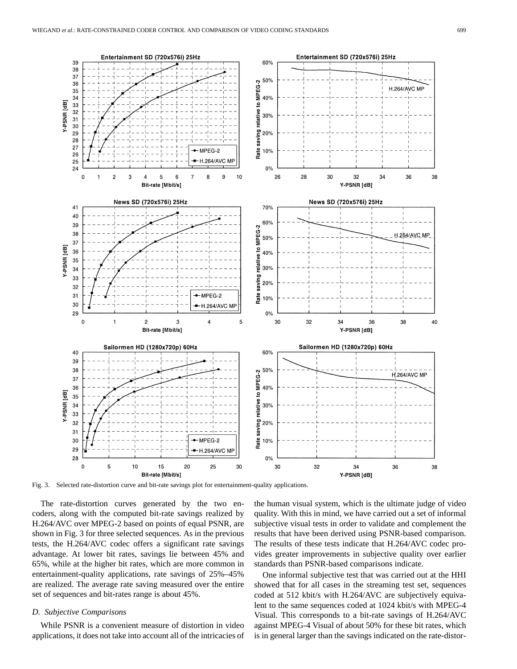

Fig. 3. Selected rate-distortion curve and bit-rate savings plot for entertainment-quality applications.

The rate-distortion curves generated by the two encoders, along with the computed bit-rate savings realized by H.264/AVC over MPEG-2 based on points of equal PSNR, are shown in Fig. 3 for three selected sequences. As in the previous tests, the H.264/AVC codec offers a significant rate savings advantage. At lower bit rates, savings lie between 45% and 65%, while at the higher bit rates, which are more common in entertainment-quality applications, rate savings of 25%–45% are realized. The average rate saving measured over the entire set of sequences and bit-rates range is about 45%.

## *D. Subjective Comparisons*

While PSNR is a convenient measure of distortion in video applications, it does not take into account all of the intricacies of

the human visual system, which is the ultimate judge of video quality. With this in mind, we have carried out a set of informal subjective visual tests in order to validate and complement the results that have been derived using PSNR-based comparison. The results of these tests indicate that H.264/AVC codec provides greater improvements in subjective quality over earlier standards than PSNR-based comparisons indicate.

One informal subjective test that was carried out at the HHI showed that for all cases in the streaming test set, sequences coded at 512 kbit/s with H.264/AVC are subjectively equivalent to the same sequences coded at 1024 kbit/s with MPEG-4 Visual. This corresponds to a bit-rate savings of H.264/AVC against MPEG-4 Visual of about 50% for these bit rates, which is in general larger than the savings indicated on the rate-distor-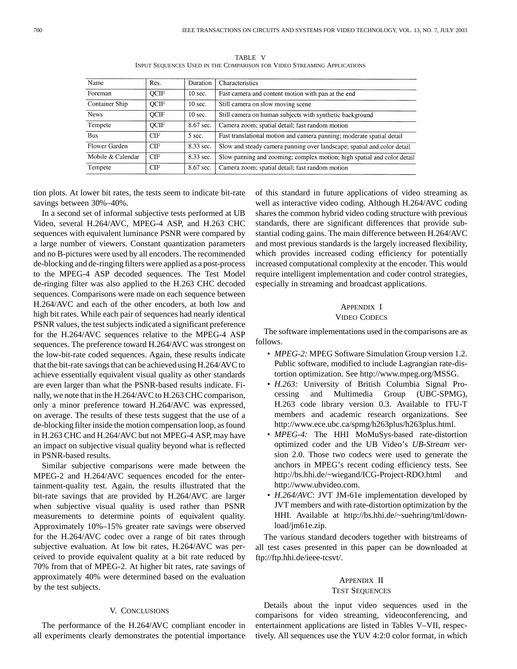Name Res. Duration Characteristics QCIF Foreman 10 sec. Fast camera and content motion with pan at the end **Container Ship** QCIF 10 sec. Still camera on slow moving scene **News**  $\overline{OCIF}$  $10$  sec. Still camera on human subjects with synthetic background Tempete  $\overline{QCIF}$ 8.67 sec. Camera zoom; spatial detail; fast random motion **Bus**  $\overline{\text{CIF}}$ 5 sec. Fast translational motion and camera panning; moderate spatial detail Flower Garden  $\overline{\text{CIF}}$ 8.33 sec. Slow and steady camera panning over landscape; spatial and color detail Mobile & Calendar  $CIF$ 8.33 sec. Slow panning and zooming; complex motion; high spatial and color detail Tempete  $CIF$ 8.67 sec. Camera zoom; spatial detail; fast random motion

TABLE V INPUT SEQUENCES USED IN THE COMPARISON FOR VIDEO STREAMING APPLICATIONS

tion plots. At lower bit rates, the tests seem to indicate bit-rate savings between 30%–40%.

In a second set of informal subjective tests performed at UB Video, several H.264/AVC, MPEG-4 ASP, and H.263 CHC sequences with equivalent luminance PSNR were compared by a large number of viewers. Constant quantization parameters and no B-pictures were used by all encoders. The recommended de-blocking and de-ringing filters were applied as a post-process to the MPEG-4 ASP decoded sequences. The Test Model de-ringing filter was also applied to the H.263 CHC decoded sequences. Comparisons were made on each sequence between H.264/AVC and each of the other encoders, at both low and high bit rates. While each pair of sequences had nearly identical PSNR values, the test subjects indicated a significant preference for the H.264/AVC sequences relative to the MPEG-4 ASP sequences. The preference toward H.264/AVC was strongest on the low-bit-rate coded sequences. Again, these results indicate that the bit-rate savings that can be achieved using H.264/AVC to achieve essentially equivalent visual quality as other standards are even larger than what the PSNR-based results indicate. Finally, we note that in the H.264/AVC to H.263 CHC comparison, only a minor preference toward H.264/AVC was expressed, on average. The results of these tests suggest that the use of a de-blocking filter inside the motion compensation loop, as found in H.263 CHC and H.264/AVC but not MPEG-4 ASP, may have an impact on subjective visual quality beyond what is reflected in PSNR-based results.

Similar subjective comparisons were made between the MPEG-2 and H.264/AVC sequences encoded for the entertainment-quality test. Again, the results illustrated that the bit-rate savings that are provided by H.264/AVC are larger when subjective visual quality is used rather than PSNR measurements to determine points of equivalent quality. Approximately 10%–15% greater rate savings were observed for the H.264/AVC codec over a range of bit rates through subjective evaluation. At low bit rates, H.264/AVC was perceived to provide equivalent quality at a bit rate reduced by 70% from that of MPEG-2. At higher bit rates, rate savings of approximately 40% were determined based on the evaluation by the test subjects.

#### V. CONCLUSIONS

The performance of the H.264/AVC compliant encoder in all experiments clearly demonstrates the potential importance of this standard in future applications of video streaming as well as interactive video coding. Although H.264/AVC coding shares the common hybrid video coding structure with previous standards, there are significant differences that provide substantial coding gains. The main difference between H.264/AVC and most previous standards is the largely increased flexibility, which provides increased coding efficiency for potentially increased computational complexity at the encoder. This would require intelligent implementation and coder control strategies, especially in streaming and broadcast applications.

## APPENDIX I VIDEO CODECS

The software implementations used in the comparisons are as follows.

- *MPEG-2:* MPEG Software Simulation Group version 1.2. Public software, modified to include Lagrangian rate-distortion optimization. See http://www.mpeg.org/MSSG.
- *H.263:* University of British Columbia Signal Processing and Multimedia Group (UBC-SPMG), H.263 code library version 0.3. Available to ITU-T members and academic research organizations. See http://www.ece.ubc.ca/spmg/h263plus/h263plus.html.
- *MPEG-4:* The HHI MoMuSys-based rate-distortion optimized coder and the UB Video's *UB-Stream* version 2.0. Those two codecs were used to generate the anchors in MPEG's recent coding efficiency tests. See http://bs.hhi.de/~wiegand/ICG-Project-RDO.html and http://www.ubvideo.com.
- *H.264/AVC*: JVT JM-61e implementation developed by JVT members and with rate-distortion optimization by the HHI. Available at http://bs.hhi.de/~suehring/tml/download/jm61e.zip.

The various standard decoders together with bitstreams of all test cases presented in this paper can be downloaded at ftp://ftp.hhi.de/ieee-tcsvt/.

## APPENDIX II

#### TEST SEQUENCES

Details about the input video sequences used in the comparisons for video streaming, videoconferencing, and entertainment applications are listed in Tables V–VII, respectively. All sequences use the YUV 4:2:0 color format, in which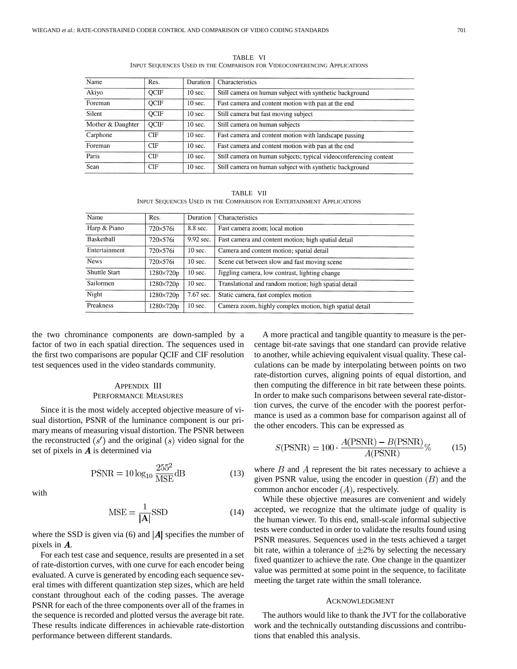TABLE VI INPUT SEQUENCES USED IN THE COMPARISON FOR VIDEOCONFERENCING APPLICATIONS

| Name              | Res.       | Duration          | Characteristics                                                   |
|-------------------|------------|-------------------|-------------------------------------------------------------------|
| Akiyo             | OCIF       | $10$ sec.         | Still camera on human subject with synthetic background           |
| Foreman           | OCIF       | 10 sec.           | Fast camera and content motion with pan at the end                |
| Silent            | OCIF       | 10 sec.           | Still camera but fast moving subject                              |
| Mother & Daughter | OCIF       | $10 \text{ sec.}$ | Still camera on human subjects                                    |
| Carphone          | <b>CIF</b> | 10 sec.           | Fast camera and content motion with landscape passing             |
| Foreman           | <b>CIF</b> | 10 sec.           | Fast camera and content motion with pan at the end                |
| Paris             | CIF        | 10 sec.           | Still camera on human subjects; typical videoconferencing content |
| Sean              | <b>CIF</b> | $10 \text{ sec.}$ | Still camera on human subject with synthetic background           |

TABLE VII INPUT SEQUENCES USED IN THE COMPARISON FOR ENTERTAINMENT APPLICATIONS

| Translational and random motion; high spatial detail    |
|---------------------------------------------------------|
|                                                         |
| Camera zoom, highly complex motion, high spatial detail |
|                                                         |

the two chrominance components are down-sampled by a factor of two in each spatial direction. The sequences used in the first two comparisons are popular QCIF and CIF resolution test sequences used in the video standards community.

# APPENDIX III PERFORMANCE MEASURES

Since it is the most widely accepted objective measure of visual distortion, PSNR of the luminance component is our primary means of measuring visual distortion. The PSNR between the reconstructed  $(s')$  and the original  $(s)$  video signal for the set of pixels in  $\boldsymbol{A}$  is determined via

$$
PSNR = 10 \log_{10} \frac{255^2}{MSE} dB
$$
\n(13)

with

$$
MSE = \frac{1}{|\mathbf{A}|} SSD
$$
 (14)

where the SSD is given via (6) and  $|A|$  specifies the number of pixels in  $\boldsymbol{A}$ .

For each test case and sequence, results are presented in a set of rate-distortion curves, with one curve for each encoder being evaluated. A curve is generated by encoding each sequence several times with different quantization step sizes, which are held constant throughout each of the coding passes. The average PSNR for each of the three components over all of the frames in the sequence is recorded and plotted versus the average bit rate. These results indicate differences in achievable rate-distortion performance between different standards.

A more practical and tangible quantity to measure is the percentage bit-rate savings that one standard can provide relative to another, while achieving equivalent visual quality. These calculations can be made by interpolating between points on two rate-distortion curves, aligning points of equal distortion, and then computing the difference in bit rate between these points. In order to make such comparisons between several rate-distortion curves, the curve of the encoder with the poorest performance is used as a common base for comparison against all of the other encoders. This can be expressed as

$$
S(\text{PSNR}) = 100 \cdot \frac{A(\text{PSNR}) - B(\text{PSNR})}{A(\text{PSNR})} \%
$$
 (15)

where  $B$  and  $A$  represent the bit rates necessary to achieve a given PSNR value, using the encoder in question  $(B)$  and the common anchor encoder  $(A)$ , respectively.

While these objective measures are convenient and widely accepted, we recognize that the ultimate judge of quality is the human viewer. To this end, small-scale informal subjective tests were conducted in order to validate the results found using PSNR measures. Sequences used in the tests achieved a target bit rate, within a tolerance of  $\pm 2\%$  by selecting the necessary fixed quantizer to achieve the rate. One change in the quantizer value was permitted at some point in the sequence, to facilitate meeting the target rate within the small tolerance.

#### ACKNOWLEDGMENT

The authors would like to thank the JVT for the collaborative work and the technically outstanding discussions and contributions that enabled this analysis.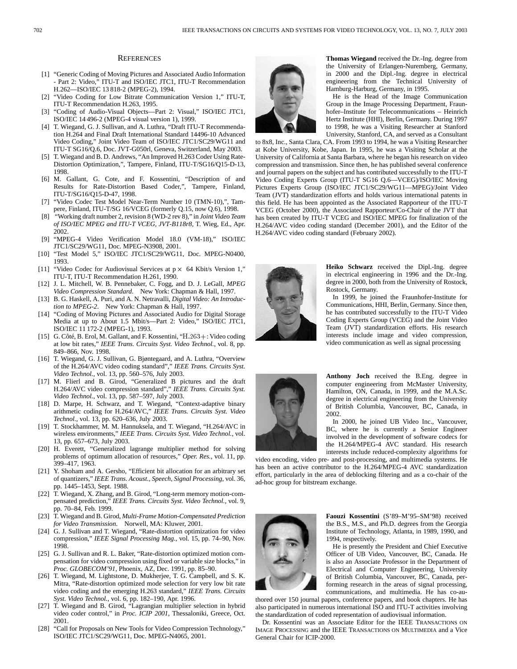#### **REFERENCES**

- [1] "Generic Coding of Moving Pictures and Associated Audio Information - Part 2: Video," ITU-T and ISO/IEC JTC1, ITU-T Recommendation H.262—ISO/IEC 13 818-2 (MPEG-2), 1994.
- [2] "Video Coding for Low Bitrate Communication Version 1," ITU-T, ITU-T Recommendation H.263, 1995.
- [3] "Coding of Audio-Visual Objects—Part 2: Visual," ISO/IEC JTC1, ISO/IEC 14 496-2 (MPEG-4 visual version 1), 1999.
- [4] T. Wiegand, G. J. Sullivan, and A. Luthra, "Draft ITU-T Recommendation H.264 and Final Draft International Standard 14496-10 Advanced Video Coding," Joint Video Team of ISO/IEC JTC1/SC29/WG11 and ITU-T SG16/Q.6, Doc. JVT-G050rl, Geneva, Switzerland, May 2003.
- [5] T. Wiegand and B. D. Andrews, "An Improved H.263 Coder Using Rate-Distortion Optimization,", Tampere, Finland, ITU-T/SG16/Q15-D-13, 1998.
- [6] M. Gallant, G. Cote, and F. Kossentini, "Description of and Results for Rate-Distortion Based Coder,", Tampere, Finland, ITU-T/SG16/Q15-D-47, 1998.
- [7] "Video Codec Test Model Near-Term Number 10 (TMN-10),", Tampere, Finland, ITU-T/SG 16/VCEG (formerly Q.15, now Q.6), 1998.
- [8] "Working draft number 2, revision 8 (WD-2 rev 8)," in *Joint Video Team of ISO/IEC MPEG and ITU-T VCEG, JVT-B118r8*, T. Wieg, Ed., Apr. 2002.
- [9] "MPEG-4 Video Verification Model 18.0 (VM-18)," ISO/IEC JTC1/SC29/WG11, Doc. MPEG-N3908, 2001.
- [10] "Test Model 5," ISO/IEC JTC1/SC29/WG11, Doc. MPEG-N0400, 1993.
- [11] "Video Codec for Audiovisual Services at  $p \times 64$  Kbit/s Version 1," ITU-T, ITU-T Recommendation H.261, 1990.
- [12] J. L. Mitchell, W. B. Pennebaker, C. Fogg, and D. J. LeGall, *MPEG Video Compression Standard*. New York: Chapman & Hall, 1997.
- [13] B. G. Haskell, A. Puri, and A. N. Netravalli, *Digital Video: An Introduction to MPEG-2*. New York: Chapman & Hall, 1997.
- [14] "Coding of Moving Pictures and Associated Audio for Digital Storage Media at up to About 1.5 Mbit/s—Part 2: Video," ISO/IEC JTC1, ISO/IEC 11 172-2 (MPEG-1), 1993.
- [15] G. Côté, B. Erol, M. Gallant, and F. Kossentini, "H:263+: Video coding at low bit rates," *IEEE Trans. Circuits Syst. Video Technol.*, vol. 8, pp. 849–866, Nov. 1998.
- [16] T. Wiegand, G. J. Sullivan, G. Bjøntegaard, and A. Luthra, "Overview of the H.264/AVC video coding standard"," *IEEE Trans. Circuits Syst. Video Technol.*, vol. 13, pp. 560–576, July 2003.
- [17] M. Flierl and B. Girod, "Generalized B pictures and the draft H.264/AVC video compression standard"," *IEEE Trans. Circuits Syst. Video Technol.*, vol. 13, pp. 587–597, July 2003.
- [18] D. Marpe, H. Schwarz, and T. Wiegand, "Context-adaptive binary arithmetic coding for H.264/AVC," *IEEE Trans. Circuits Syst. Video Technol.*, vol. 13, pp. 620–636, July 2003.
- [19] T. Stockhammer, M. M. Hannuksela, and T. Wiegand, "H.264/AVC in wireless environments," *IEEE Trans. Circuits Syst. Video Technol.*, vol. 13, pp. 657–673, July 2003.
- [20] H. Everett, "Generalized lagrange multiplier method for solving problems of optimum allocation of resources," *Oper. Res.*, vol. 11, pp. 399–417, 1963.
- [21] Y. Shoham and A. Gersho, "Efficient bit allocation for an arbitrary set of quantizers," *IEEE Trans. Acoust., Speech, Signal Processing*, vol. 36, pp. 1445–1453, Sept. 1988.
- [22] T. Wiegand, X. Zhang, and B. Girod, "Long-term memory motion-compensated prediction," *IEEE Trans. Circuits Syst. Video Technol.*, vol. 9, pp. 70–84, Feb. 1999.
- [23] T. Wiegand and B. Girod, *Multi-Frame Motion-Compensated Prediction for Video Transmission*. Norwell, MA: Kluwer, 2001.
- [24] G. J. Sullivan and T. Wiegand, "Rate-distortion optimization for video compression," *IEEE Signal Processing Mag.*, vol. 15, pp. 74–90, Nov. 1998.
- [25] G. J. Sullivan and R. L. Baker, "Rate-distortion optimized motion compensation for video compression using fixed or variable size blocks," in *Proc. GLOBECOM'91*, Phoenix, AZ, Dec. 1991, pp. 85–90.
- [26] T. Wiegand, M. Lightstone, D. Mukherjee, T. G. Campbell, and S. K. Mitra, "Rate-distortion optimized mode selection for very low bit rate video coding and the emerging H.263 standard," *IEEE Trans. Circuits Syst. Video Technol.*, vol. 6, pp. 182–190, Apr. 1996.
- [27] T. Wiegand and B. Girod, "Lagrangian multiplier selection in hybrid video coder control," in *Proc. ICIP 2001*, Thessaloniki, Greece, Oct. 2001.
- [28] "Call for Proposals on New Tools for Video Compression Technology," ISO/IEC JTC1/SC29/WG11, Doc. MPEG-N4065, 2001.



**Thomas Wiegand** received the Dr.-Ing. degree from the University of Erlangen-Nuremberg, Germany, in 2000 and the Dipl.-Ing. degree in electrical engineering from the Technical University of Hamburg-Harburg, Germany, in 1995.

He is the Head of the Image Communication Group in the Image Processing Department, Fraunhofer–Institute for Telecommunications – Heinrich Hertz Institute (HHI), Berlin, Germany. During 1997 to 1998, he was a Visiting Researcher at Stanford University, Stanford, CA, and served as a Consultant

to 8x8, Inc., Santa Clara, CA. From 1993 to 1994, he was a Visiting Researcher at Kobe University, Kobe, Japan. In 1995, he was a Visiting Scholar at the University of California at Santa Barbara, where he began his research on video compression and transmission. Since then, he has published several conference and journal papers on the subject and has contributed successfully to the ITU-T Video Coding Experts Group (ITU-T SG16 Q.6—VCEG)/ISO/IEC Moving Pictures Experts Group (ISO/IEC JTC1/SC29/WG11—MPEG)/Joint Video Team (JVT) standardization efforts and holds various international patents in this field. He has been appointed as the Associated Rapporteur of the ITU-T VCEG (October 2000), the Associated Rapporteur/Co-Chair of the JVT that has been created by ITU-T VCEG and ISO/IEC MPEG for finalization of the H.264/AVC video coding standard (December 2001), and the Editor of the H.264/AVC video coding standard (February 2002).



**Heiko Schwarz** received the Dipl.-Ing. degree in electrical engineering in 1996 and the Dr.-Ing. degree in 2000, both from the University of Rostock, Rostock, Germany.

In 1999, he joined the Fraunhofer-Institute for Communications, HHI, Berlin, Germany. Since then, he has contributed successfully to the ITU-T Video Coding Experts Group (VCEG) and the Joint Video Team (JVT) standardization efforts. His research interests include image and video compression, video communication as well as signal processing



**Anthony Joch** received the B.Eng. degree in computer engineering from McMaster University, Hamilton, ON, Canada, in 1999, and the M.A.Sc. degree in electrical engineering from the University of British Columbia, Vancouver, BC, Canada, in 2002.

In 2000, he joined UB Video Inc., Vancouver, BC, where he is currently a Senior Engineer involved in the development of software codecs for the H.264/MPEG-4 AVC standard. His research interests include reduced-complexity algorithms for

video encoding, video pre- and post-processing, and multimedia systems. He has been an active contributor to the H.264/MPEG-4 AVC standardization effort, particularly in the area of deblocking filtering and as a co-chair of the ad-hoc group for bitstream exchange.



**Faouzi Kossentini** (S'89–M'95–SM'98) received the B.S., M.S., and Ph.D. degrees from the Georgia Institute of Technology, Atlanta, in 1989, 1990, and 1994, respectively.

He is presently the President and Chief Executive Officer of UB Video, Vancouver, BC, Canada. He is also an Associate Professor in the Department of Electrical and Computer Engineering, University of British Columbia, Vancouver, BC, Canada, performing research in the areas of signal processing, communications, and multimedia. He has co-au-

thored over 150 journal papers, conference papers, and book chapters. He has also participated in numerous international ISO and ITU-T activities involving the standardization of coded representation of audiovisual information.

Dr. Kossentini was an Associate Editor for the IEEE TRANSACTIONS ON IMAGE PROCESSING and the IEEE TRANSACTIONS ON MULTIMEDIA and a Vice General Chair for ICIP-2000.